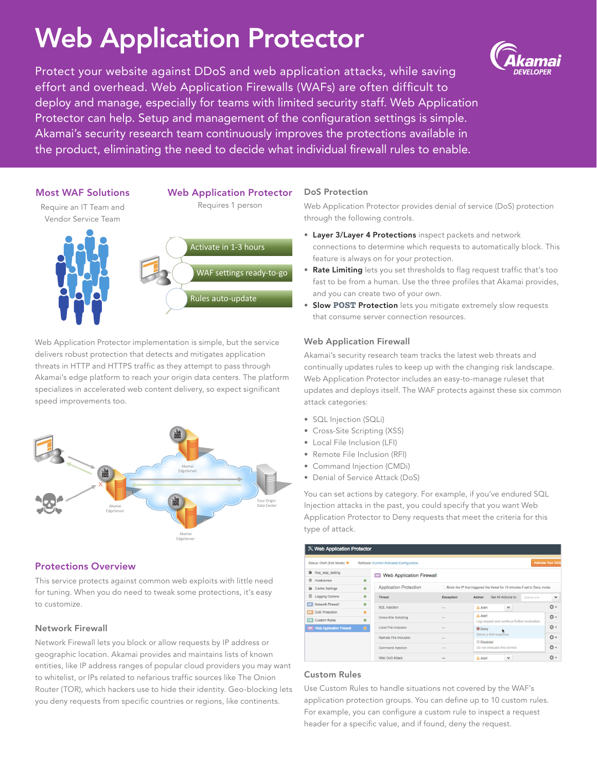# Web Application Protector

Protect your website against DDoS and web application attacks, while saving effort and overhead. Web Application Firewalls (WAFs) are often difficult to deploy and manage, especially for teams with limited security staff. Web Application Protector can help. Setup and management of the configuration settings is simple. Akamai's security research team continuously improves the protections available in the product, eliminating the need to decide what individual firewall rules to enable.



Web Application Protector implementation is simple, but the service delivers robust protection that detects and mitigates application threats in HTTP and HTTPS traffic as they attempt to pass through Akamai's edge platform to reach your origin data centers. The platform specializes in accelerated web content delivery, so expect significant speed improvements too.



# Protections Overview

This service protects against common web exploits with little need for tuning. When you do need to tweak some protections, it's easy to customize.

# Network Firewall

Network Firewall lets you block or allow requests by IP address or geographic location. Akamai provides and maintains lists of known entities, like IP address ranges of popular cloud providers you may want to whitelist, or IPs related to nefarious traffic sources like The Onion Router (TOR), which hackers use to hide their identity. Geo-blocking lets you deny requests from specific countries or regions, like continents.

#### DoS Protection

Web Application Protector provides denial of service (DoS) protection through the following controls.

- Layer 3/Layer 4 Protections inspect packets and network connections to determine which requests to automatically block. This feature is always on for your protection.
- Rate Limiting lets you set thresholds to flag request traffic that's too fast to be from a human. Use the three profiles that Akamai provides, and you can create two of your own.
- Slow **POST** Protection lets you mitigate extremely slow requests that consume server connection resources.

# Web Application Firewall

Akamai's security research team tracks the latest web threats and continually updates rules to keep up with the changing risk landscape. Web Application Protector includes an easy-to-manage ruleset that updates and deploys itself. The WAF protects against these six common attack categories:

- SQL Injection (SQLi)
- Cross-Site Scripting (XSS)
- Local File Inclusion (LFI)
- Remote File Inclusion (RFI)
- Command Injection (CMDi)
- Denial of Service Attack (DoS)

You can set actions by category. For example, if you've endured SQL Injection attacks in the past, you could specify that you want Web Application Protector to Deny requests that meet the criteria for this type of attack.

| X Web Application Protector                                              |           |                                            |                                                                            |                                              |                            |
|--------------------------------------------------------------------------|-----------|--------------------------------------------|----------------------------------------------------------------------------|----------------------------------------------|----------------------------|
| Status: Draft (Edit Mode) <<br>Rollback: Current Activated Configuration |           |                                            |                                                                            |                                              | <b>Activate Your Edits</b> |
| G<br>Ksa_wap_testing                                                     |           | <b>Web Application Firewall</b><br>WF      |                                                                            |                                              |                            |
| ⊕<br>Hostnames                                                           | ٠         |                                            |                                                                            |                                              |                            |
| <b>Cache Settings</b><br>鱼                                               | $\bullet$ | <b>Application Protection</b>              | Block the IP that triggered the threat for 10 minutes if set to Deny mode. |                                              |                            |
| 回<br><b>Logging Options</b>                                              | ۰         | <b>Threat</b>                              | <b>Exception</b>                                                           | Set All Actions to:<br>Action<br>Select ane  | $\checkmark$               |
| Network Firewall                                                         | ٠         | <b>SQL Injection</b>                       |                                                                            | A Alert<br>$\checkmark$                      | <b>卷-</b>                  |
| <b>DoS Protection</b>                                                    | ٠         |                                            |                                                                            | A Alert                                      | O-                         |
| <b>Custom Rules</b><br><b>CR</b>                                         | ۰         | <b>Cross-Site Scripting</b>                |                                                                            | Log request and continue further evaluation. |                            |
| WF Web Application Firewall                                              | ♦         | Local File Inclusion                       |                                                                            | © Deny                                       | O-                         |
|                                                                          |           | Remote File Inclusion<br>Command Injection |                                                                            | Serve a 403 response.                        | - 소                        |
|                                                                          |           |                                            |                                                                            | C Disabled                                   |                            |
|                                                                          |           |                                            |                                                                            | Do not evaluate this control.                | <b>卷-</b>                  |
|                                                                          |           | <b>Web DoS Attack</b>                      |                                                                            | A Alert<br>$\checkmark$                      | Ö-                         |

# Custom Rules

Use Custom Rules to handle situations not covered by the WAF's application protection groups. You can define up to 10 custom rules. For example, you can configure a custom rule to inspect a request header for a specific value, and if found, deny the request.